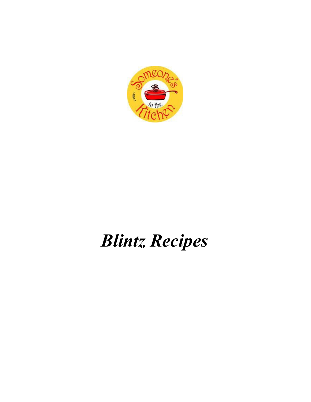

# *Blintz Recipes*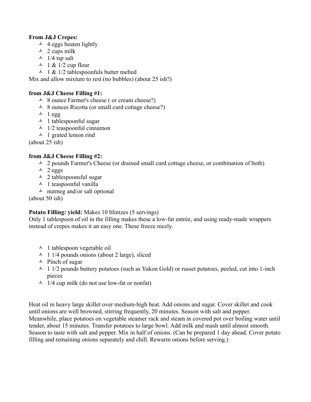## **From J&J Crepes:**

- $\overline{4}$  4 eggs beaten lightly
- $\lambda$  2 cups milk
- $\triangle$  1/4 tsp salt
- $\sim$  1 & 1/2 cup flour
- $\triangle$  1 & 1/2 tablespoonfuls butter melted

Mix and allow mixture to rest (no bubbles) (about 25 ish?)

# **from J&J Cheese Filling #1:**

- A 8 ounce Farmer's cheese ( or cream cheese?)
- $\triangle$  8 ounces Ricotta (or small curd cottage cheese?)
- $\lambda$  1 egg
- $\lambda$  1 tables poonful sugar
- $\lambda$  1/2 teaspoonful cinnamon
- $\uparrow$  1 grated lemon rind

(about 25 ish)

# **from J&J Cheese Filling #2:**

- $\triangle$  2 pounds Farmer's Cheese (or drained small curd cottage cheese, or combination of both)
- $\triangle$  2 eggs
- 2 tablespoonsful sugar
- $\uparrow$  1 teaspoonful vanilla
- $\triangle$  nutmeg and/or salt optional

# (about 50 ish)

# Potato Filling: yield: Makes 10 blintzes (5 servings)

Only 1 tablespoon of oil in the filling makes these a low-fat entrée, and using ready-made wrappers instead of crepes makes it an easy one. These freeze nicely.

- $\triangle$  1 tablespoon vegetable oil
- $\triangle$  1 1/4 pounds onions (about 2 large), sliced
- $\triangle$  Pinch of sugar
- $\sim$  1 1/2 pounds buttery potatoes (such as Yukon Gold) or russet potatoes, peeled, cut into 1-inch pieces
- $\triangle$  1/4 cup milk (do not use low-fat or nonfat)

Heat oil in heavy large skillet over medium-high heat. Add onions and sugar. Cover skillet and cook until onions are well browned, stirring frequently, 20 minutes. Season with salt and pepper. Meanwhile, place potatoes on vegetable steamer rack and steam in covered pot over boiling water until tender, about 15 minutes. Transfer potatoes to large bowl. Add milk and mash until almost smooth. Season to taste with salt and pepper. Mix in half of onions. (Can be prepared 1 day ahead. Cover potato filling and remaining onions separately and chill. Rewarm onions before serving.)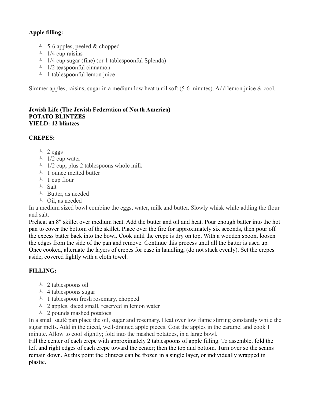# **Apple filling:**

- $\triangle$  5-6 apples, peeled & chopped
- $\lambda$  1/4 cup raisins
- $\sim$  1/4 cup sugar (fine) (or 1 tablespoonful Splenda)
- $\lambda$  1/2 teaspoonful cinnamon
- $\lambda$  1 tablespoonful lemon juice

Simmer apples, raisins, sugar in a medium low heat until soft (5-6 minutes). Add lemon juice & cool.

#### **Jewish Life (The Jewish Federation of North America) POTATO BLINTZES YIELD: 12 blintzes**

### **CREPES:**

- $\lambda$  2 eggs
- $\lambda$  1/2 cup water
- $\triangle$  1/2 cup, plus 2 tablespoons whole milk
- $\lambda$  1 ounce melted butter
- $\uparrow$  1 cup flour
- Salt
- $\triangle$  Butter, as needed
- $\triangle$  Oil, as needed

In a medium sized bowl combine the eggs, water, milk and butter. Slowly whisk while adding the flour and salt.

Preheat an 8" skillet over medium heat. Add the butter and oil and heat. Pour enough batter into the hot pan to cover the bottom of the skillet. Place over the fire for approximately six seconds, then pour off the excess batter back into the bowl. Cook until the crepe is dry on top. With a wooden spoon, loosen the edges from the side of the pan and remove. Continue this process until all the batter is used up. Once cooked, alternate the layers of crepes for ease in handling, (do not stack evenly). Set the crepes aside, covered lightly with a cloth towel.

# **FILLING:**

- $\triangle$  2 tablespoons oil
- $\triangle$  4 tablespoons sugar
- $\triangle$  1 tablespoon fresh rosemary, chopped
- $\triangle$  2 apples, diced small, reserved in lemon water
- $\lambda$  2 pounds mashed potatoes

In a small sauté pan place the oil, sugar and rosemary. Heat over low flame stirring constantly while the sugar melts. Add in the diced, well-drained apple pieces. Coat the apples in the caramel and cook 1 minute. Allow to cool slightly; fold into the mashed potatoes, in a large bowl.

Fill the center of each crepe with approximately 2 tablespoons of apple filling. To assemble, fold the left and right edges of each crepe toward the center; then the top and bottom. Turn over so the seams remain down. At this point the blintzes can be frozen in a single layer, or individually wrapped in plastic.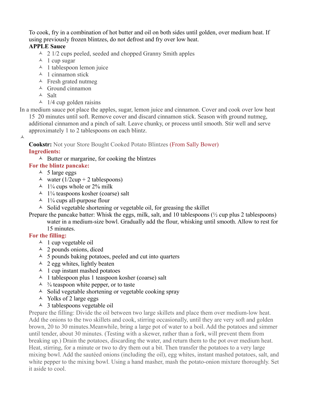To cook, fry in a combination of hot butter and oil on both sides until golden, over medium heat. If using previously frozen blintzes, do not defrost and fry over low heat.

# **APPLE Sauce**

- $\sim$  2 1/2 cups peeled, seeded and chopped Granny Smith apples
- $\lambda$  1 cup sugar
- $\triangle$  1 tablespoon lemon juice
- $\lambda$  1 cinnamon stick
- $\triangle$  Fresh grated nutmeg
- $\triangle$  Ground cinnamon
- Salt
- $\sim$  1/4 cup golden raisins

In a medium sauce pot place the apples, sugar, lemon juice and cinnamon. Cover and cook over low heat 15 20 minutes until soft. Remove cover and discard cinnamon stick. Season with ground nutmeg, additional cinnamon and a pinch of salt. Leave chunky, or process until smooth. Stir well and serve approximately 1 to 2 tablespoons on each blintz.

 $\blacktriangle$ 

**Cookstr:** Not your Store Bought Cooked Potato Blintzes (From Sally Bower) **Ingredients:**

 $\triangle$  Butter or margarine, for cooking the blintzes

- **For the blintz pancake:**
	- $\triangle$  5 large eggs
	- A water  $(1/2cup + 2$  tablespoons)
	- $\triangle$  1<sup>1</sup>/<sub>4</sub> cups whole or 2% milk
	- $\lambda$  1<sup>1</sup>/<sub>4</sub> teaspoons kosher (coarse) salt
	- $\lambda$  1<sup>1</sup>/<sub>4</sub> cups all-purpose flour
	- $\triangle$  Solid vegetable shortening or vegetable oil, for greasing the skillet

Prepare the pancake batter: Whisk the eggs, milk, salt, and 10 tablespoons ( $\frac{1}{2}$  cup plus 2 tablespoons) water in a medium-size bowl. Gradually add the flour, whisking until smooth. Allow to rest for 15 minutes.

# **For the filling:**

- $\lambda$  1 cup vegetable oil
- $\lambda$  2 pounds onions, diced
- $\sim$  5 pounds baking potatoes, peeled and cut into quarters
- $\triangle$  2 egg whites, lightly beaten
- $\triangle$  1 cup instant mashed potatoes
- $\triangle$  1 tablespoon plus 1 teaspoon kosher (coarse) salt
- $\frac{1}{4}$  teaspoon white pepper, or to taste
- $\triangle$  Solid vegetable shortening or vegetable cooking spray
- $\triangle$  Yolks of 2 large eggs
- $\triangle$  3 tablespoons vegetable oil

Prepare the filling: Divide the oil between two large skillets and place them over medium-low heat. Add the onions to the two skillets and cook, stirring occasionally, until they are very soft and golden brown, 20 to 30 minutes.Meanwhile, bring a large pot of water to a boil. Add the potatoes and simmer until tender, about 30 minutes. (Testing with a skewer, rather than a fork, will prevent them from breaking up.) Drain the potatoes, discarding the water, and return them to the pot over medium heat. Heat, stirring, for a minute or two to dry them out a bit. Then transfer the potatoes to a very large mixing bowl. Add the sautéed onions (including the oil), egg whites, instant mashed potatoes, salt, and white pepper to the mixing bowl. Using a hand masher, mash the potato-onion mixture thoroughly. Set it aside to cool.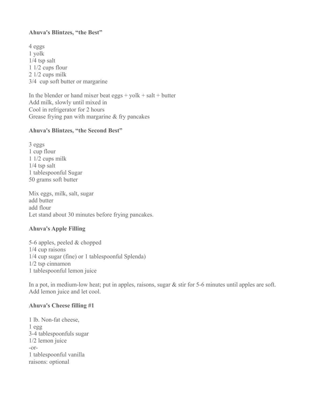#### **Ahuva's Blintzes, "the Best"**

4 eggs 1 yolk 1/4 tsp salt 1 1/2 cups flour 2 1/2 cups milk 3/4 cup soft butter or margarine

In the blender or hand mixer beat  $eggs + yolk + salt + butter$ Add milk, slowly until mixed in Cool in refrigerator for 2 hours Grease frying pan with margarine & fry pancakes

#### **Ahuva's Blintzes, "the Second Best"**

3 eggs 1 cup flour 1 1/2 cups milk 1/4 tsp salt 1 tablespoonful Sugar 50 grams soft butter

Mix eggs, milk, salt, sugar add butter add flour Let stand about 30 minutes before frying pancakes.

### **Ahuva's Apple Filling**

5-6 apples, peeled & chopped 1/4 cup raisons 1/4 cup sugar (fine) or 1 tablespoonful Splenda) 1/2 tsp cinnamon 1 tablespoonful lemon juice

In a pot, in medium-low heat; put in apples, raisons, sugar & stir for 5-6 minutes until apples are soft. Add lemon juice and let cool.

### **Ahuva's Cheese filling #1**

1 lb. Non-fat cheese, 1 egg 3-4 tablespoonfuls sugar 1/2 lemon juice -or-1 tablespoonful vanilla raisons: optional